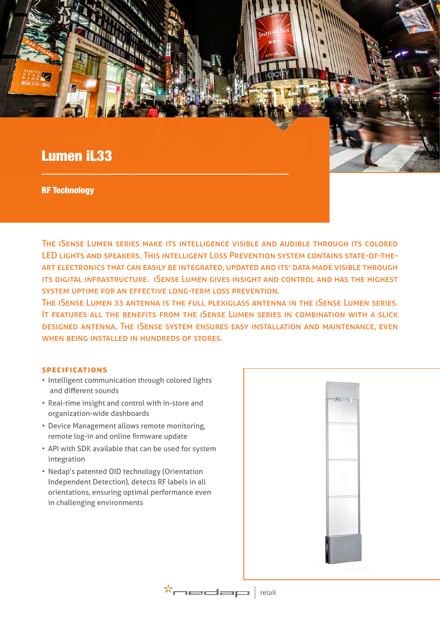# Lumen iL33

RF Technology

The iSense Lumen series make its intelligence visible and audible through its colored LED lights and speakers. This intelligent Loss Prevention system contains state-of-theart electronics that can easily be integrated, updated and its' data made visible through its digital infrastructure. iSense Lumen gives insight and control and has the highest system uptime for an effective long-term loss prevention.

The iSense Lumen 33 antenna is the full plexiglass antenna in the iSense Lumen series. It features all the benefits from the iSense Lumen series in combination with a slick designed antenna. The iSense system ensures easy installation and maintenance, even WHEN BEING INSTALLED IN HUNDREDS OF STORES.

#### **specifications**

- Intelligent communication through colored lights and different sounds
- Real-time insight and control with in-store and organization-wide dashboards
- Device Management allows remote monitoring, remote log-in and online firmware update
- API with SDK available that can be used for system integration
- Nedap's patented OID technology (Orientation Independent Detection), detects RF labels in all orientations, ensuring optimal performance even in challenging environments



 $\mathbf{x}_{\text{mean}} \mid \mathbf{p}_{\text{train}}$